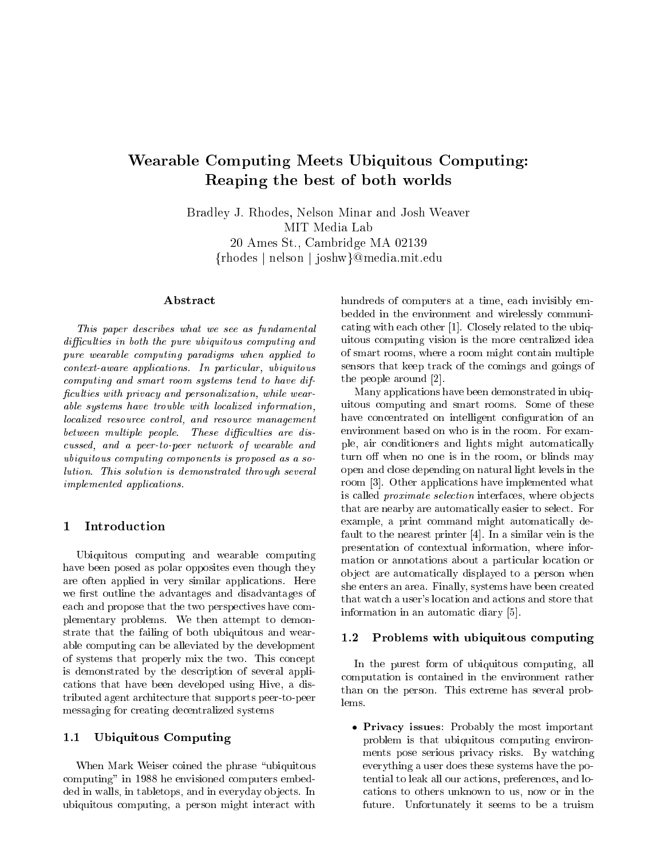# Wearable Computing Meets Ubiquitous Computing: Reaping the best of both worlds

Bradley J. Rhodes, Nelson Minar and Josh Weaver MIT Media Lab 20 Ames St., Cambridge MA 02139 {rhodes | nelson | joshw}@media.mit.edu

### Abstract

This paper des
ribes what we see as fundamental difficulties in both the pure ubiquitous computing and pure wearable omputing paradigms when applied to context-aware applications. In particular, ubiquitous omputing and smart room systems tend to have dif ficulties with privacy and personalization, while wearable systems have trouble with localized information, localized resource control, and resource management between multiple people. These difficulties are disussed, and a peer-to-peer network of wearable and ubiquitous omputing omponents is proposed as a solution. This solution is demonstrated through several implemented applications.

# 1 Introdu
tion

Ubiquitous omputing and wearable omputing have been posed as polar opposites even though they are often applied in very similar appli
ations. Here we first outline the advantages and disadvantages of each and propose that the two perspectives have complementary problems. We then attempt to demonstrate that the failing of both ubiquitous and wearable omputing an be alleviated by the development of systems that properly mix the two. This on
ept is demonstrated by the des
ription of several appli ations that have been developed using Hive, a distributed agent architecture that supports peer-to-peer messaging for reating de
entralized systems

# 1.1 Ubiquitous Computing

When Mark Weiser coined the phrase "ubiquitous" omputing" in 1988 he envisioned omputers embedded in walls, in tabletops, and in everyday objects. In ubiquitous computing, a person might interact with hundreds of computers at a time, each invisibly embedded in the environment and wirelessly ommuni cating with each other  $[1]$ . Closely related to the ubiquitous omputing vision is the more entralized idea of smart rooms, where a room might ontain multiple sensors that keep track of the comings and goings of the people around  $[2]$ .

Many applications have been demonstrated in ubiquitous omputing and smart rooms. Some of these have concentrated on intelligent configuration of an environment based on who is in the room. For example, air onditioners and lights might automati
ally turn off when no one is in the room, or blinds may open and lose depending on natural light levels in the room [3]. Other applications have implemented what is called *proximate selection* interfaces, where objects that are nearby are automati
ally easier to sele
t. For example, a print command might automatically default to the nearest printer  $[4]$ . In a similar vein is the presentation of ontextual information, where information or annotations about a particular location or object are automatically displayed to a person when she enters an area. Finally, systems have been created that watch a user's location and actions and store that information in an automatic diary [5].

### 1.2 Problems with ubiquitous omputing

In the purest form of ubiquitous omputing, all omputation is ontained in the environment rather than on the person. This extreme has several problems.

• Privacy issues: Probably the most important problem is that ubiquitous omputing environments pose serious privacy risks. By watching everything a user does these systems have the potential to leak all our a
tions, preferen
es, and lo ations to others unknown to us, now or in the future. Unfortunately it seems to be a truism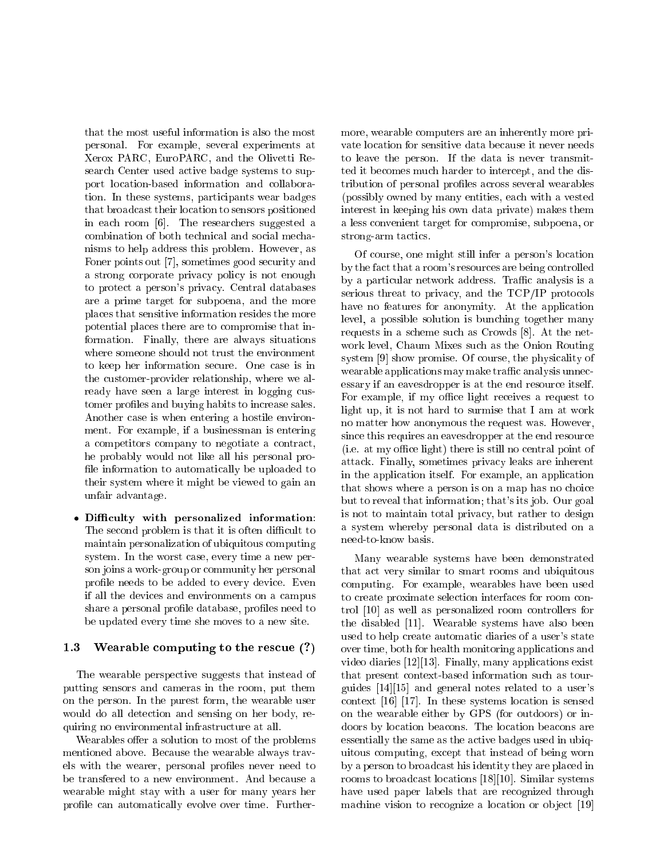that the most useful information is also the most personal. For example, several experiments at Xerox PARC, EuroPARC, and the Olivetti Research Center used active badge systems to support location-based information and collaboration. In these systems, parti
ipants wear badges that broad
ast their lo
ation to sensors positioned in each room [6]. The researchers suggested a combination of both technical and social mechanisms to help address this problem. However, as Foner points out [7], sometimes good security and a strong corporate privacy policy is not enough to protect a person's privacy. Central databases are a prime target for subpoena, and the more pla
es that sensitive information resides the more potential pla
es there are to ompromise that information. Finally, there are always situations where someone should not trust the environment to keep her information se
ure. One ase is in the ustomer-provider relationship, where we already have seen a large interest in logging customer profiles and buying habits to increase sales. Another case is when entering a hostile environment. For example, if a businessman is entering a competitors company to negotiate a contract, he probably would not like all his personal pro file information to automatically be uploaded to their system where it might be viewed to gain an unfair advantage.

**•** Difficulty with personalized information: The second problem is that it is often difficult to maintain personalization of ubiquitous omputing system. In the worst case, every time a new person joins a work-group or ommunity her personal profile needs to be added to every device. Even if all the devices and environments on a campus share a personal profile database, profiles need to be updated every time she moves to a new site.

#### $1.3$ Wearable computing to the rescue (?)

The wearable perspe
tive suggests that instead of putting sensors and ameras in the room, put them on the person. In the purest form, the wearable user would do all dete
tion and sensing on her body, requiring no environmental infrastru
ture at all.

Wearables offer a solution to most of the problems mentioned above. Because the wearable always travels with the wearer, personal profiles never need to be transfered to a new environment. And be
ause a wearable might stay with a user for many years her profile can automatically evolve over time. Furthermore, wearable omputers are an inherently more private location for sensitive data because it never needs to leave the person. If the data is never transmitted it be
omes mu
h harder to inter
ept, and the distribution of personal profiles across several wearables (possibly owned by many entities, ea
h with a vested interest in keeping his own data private) makes them a less onvenient target for ompromise, subpoena, or strong-arm tactics.

Of course, one might still infer a person's location by the fact that a room's resources are being controlled by a particular network address. Traffic analysis is a serious threat to privacy, and the  $TCP/IP$  protocols have no features for anonymity. At the application level, a possible solution is bun
hing together many requests in a scheme such as Crowds [8]. At the network level, Chaum Mixes su
h as the Onion Routing system  $[9]$  show promise. Of course, the physicality of wearable applications may make traffic analysis unnecessary if an eavesdropper is at the end resour
e itself. For example, if my office light receives a request to light up, it is not hard to surmise that I am at work no matter how anonymous the request was. However, sin
e this requires an eavesdropper at the end resour
e (i.e. at my office light) there is still no central point of attack. Finally, sometimes privacy leaks are inherent in the application itself. For example, an application that shows where a person is on a map has no choice but to reveal that information; that's its job. Our goal is not to maintain total privacy, but rather to design a system whereby personal data is distributed on a need-to-know basis.

Many wearable systems have been demonstrated that a
t very similar to smart rooms and ubiquitous omputing. For example, wearables have been used to create proximate selection interfaces for room control [10] as well as personalized room controllers for the disabled  $[11]$ . Wearable systems have also been used to help create automatic diaries of a user's state over time, both for health monitoring appli
ations and video diaries  $[12][13]$ . Finally, many applications exist that present ontext-based information su
h as tourguides  $[14][15]$  and general notes related to a user's context  $[16]$   $[17]$ . In these systems location is sensed on the wearable either by GPS (for outdoors) or indoors by location beacons. The location beacons are essentially the same as the active badges used in ubiquitous omputing, ex
ept that instead of being worn by a person to broad
ast his identity they are pla
ed in rooms to broadcast locations  $[18][10]$ . Similar systems have used paper labels that are re
ognized through machine vision to recognize a location or object [19]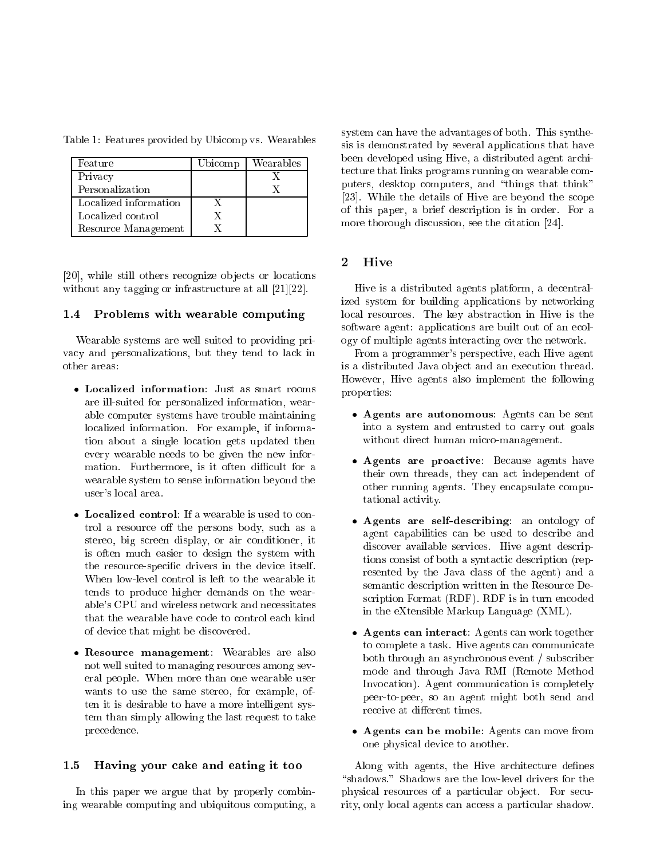| Feature               | Ubicomp | Wearables |
|-----------------------|---------|-----------|
| Privacy               |         |           |
| Personalization       |         |           |
| Localized information |         |           |
| Localized control     |         |           |
| Resource Management   |         |           |

Table 1: Features provided by Ubi
omp vs. Wearables

[20], while still others recognize objects or locations without any tagging or infrastructure at all  $[21][22]$ .

#### $1.4$ Problems with wearable computing

Wearable systems are well suited to providing privacy and personalizations, but they tend to lack in other areas:

- Localized information: Just as smart rooms are ill-suited for personalized information, wearable omputer systems have trouble maintaining lo
alized information. For example, if information about a single location gets updated then every wearable needs to be given the new information. Furthermore, is it often difficult for a wearable system to sense information beyond the user's lo
al area.
- Localized control: If a wearable is used to control a resource off the persons body, such as a stereo, big screen display, or air conditioner, it is often mu
h easier to design the system with the resource-specific drivers in the device itself. When low-level ontrol is left to the wearable it tends to produ
e higher demands on the wearable's CPU and wireless network and ne
essitates that the wearable have code to control each kind of devi
e that might be dis
overed.
- Resour
e management: Wearables are also not well suited to managing resour
es among several people. When more than one wearable user wants to use the same stereo, for example, often it is desirable to have a more intelligent system than simply allowing the last request to take pre
eden
e.

#### $1.5$ Having your cake and eating it too

In this paper we argue that by properly combining wearable omputing and ubiquitous omputing, a system can have the advantages of both. This synthesis is demonstrated by several applications that have been developed using Hive, a distributed agent ar
hitecture that links programs running on wearable computers, desktop computers, and "things that think" [23]. While the details of Hive are beyond the scope of this paper, a brief des
ription is in order. For a more thorough discussion, see the citation [24].

# 2 Hive

Hive is a distributed agents platform, a decentralized system for building applications by networking local resources. The key abstraction in Hive is the software agent: applications are built out of an ecology of multiple agents interacting over the network.

From a programmer's perspe
tive, ea
h Hive agent is a distributed Java object and an execution thread. However, Hive agents also implement the following properties:

- Agents are autonomous: Agents an be sent into a system and entrusted to arry out goals without direct human micro-management.
- Agents are proactive: Because agents have their own threads, they an a
t independent of other running agents. They en
apsulate omputational a
tivity.
- Agents are self-des
ribing: an ontology of agent apabilities an be used to des
ribe and discover available services. Hive agent descriptions onsist of both a synta
ti des
ription (represented by the Java class of the agent) and a semantic description written in the Resource Description Format (RDF). RDF is in turn encoded in the eXtensible Markup Language (XML).
- Agents can interact: Agents can work together to complete a task. Hive agents can communicate both through an asyn
hronous event / subs
riber mode and through Java RMI (Remote Method Invocation). Agent communication is completely peer-to-peer, so an agent might both send and receive at different times.
- Agents can be mobile: Agents can move from one physi
al devi
e to another.

Along with agents, the Hive architecture defines "shadows." Shadows are the low-level drivers for the physical resources of a particular object. For security, only local agents can access a particular shadow.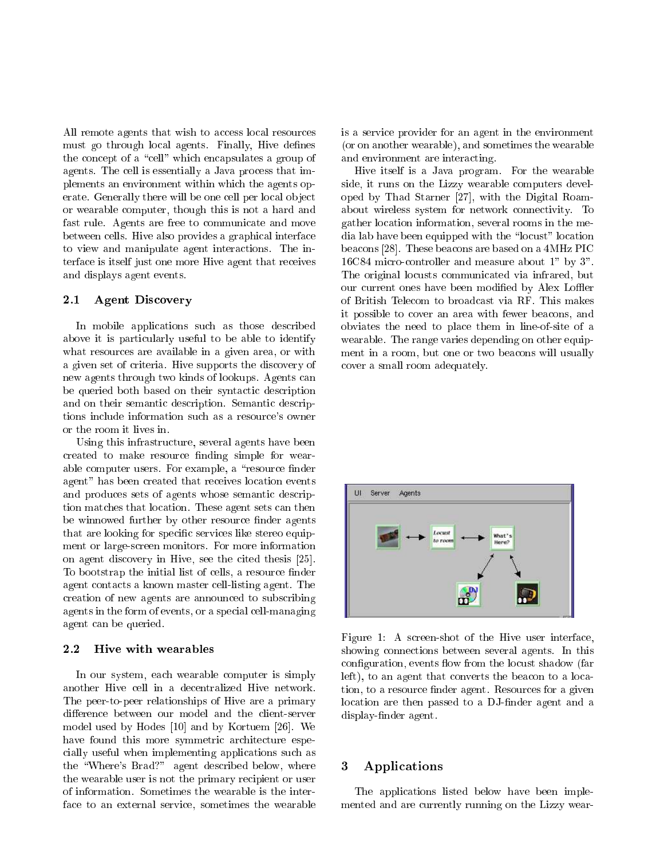All remote agents that wish to access local resources must go through local agents. Finally, Hive defines the concept of a "cell" which encapsulates a group of agents. The cell is essentially a Java process that implements an environment within whi
h the agents operate. Generally there will be one cell per local object or wearable omputer, though this is not a hard and fast rule. Agents are free to ommuni
ate and move between ells. Hive also provides a graphi
al interfa
e to view and manipulate agent interactions. The interface is itself just one more Hive agent that receives and displays agent events.

### 2.1 Agent Dis
overy

In mobile applications such as those described above it is parti
ularly useful to be able to identify what resour
es are available in a given area, or with a given set of criteria. Hive supports the discovery of new agents through two kinds of lookups. Agents can be queried both based on their syntactic description and on their semantic description. Semantic descriptions in
lude information su
h as a resour
e's owner or the room it lives in.

Using this infrastructure, several agents have been created to make resource finding simple for wearable computer users. For example, a "resource finder agent" has been reated that re
eives lo
ation events and produ
es sets of agents whose semanti des
ription matches that location. These agent sets can then be winnowed further by other resource finder agents that are looking for specific services like stereo equipment or large-s
reen monitors. For more information on agent discovery in Hive, see the cited thesis [25]. To bootstrap the initial list of cells, a resource finder agent onta
ts a known master ell-listing agent. The reation of new agents are announ
ed to subs
ribing agents in the form of events, or a special cell-managing agent can be queried.

### 2.2 Hive with wearables

In our system, each wearable computer is simply another Hive ell in a de
entralized Hive network. The peer-to-peer relationships of Hive are a primary difference between our model and the client-server model used by Hodes  $[10]$  and by Kortuem  $[26]$ . We have found this more symmetric architecture especially useful when implementing applications such as the "Where's Brad?" agent described below, where the wearable user is not the primary recipient or user of information. Sometimes the wearable is the interfa
e to an external servi
e, sometimes the wearable is a servi
e provider for an agent in the environment (or on another wearable), and sometimes the wearable and environment are interacting.

Hive itself is a Java program. For the wearable side, it runs on the Lizzy wearable omputers developed by Thad Starner  $[27]$ , with the Digital Roamabout wireless system for network connectivity. To gather lo
ation information, several rooms in the media lab have been equipped with the "locust" location beacons [28]. These beacons are based on a 4MHz PIC 16C84 micro-controller and measure about 1" by 3". The original lo
usts ommuni
ated via infrared, but our current ones have been modified by Alex Loffler of British Telecom to broadcast via RF. This makes it possible to over an area with fewer bea
ons, and obviates the need to pla
e them in line-of-site of a wearable. The range varies depending on other equipment in a room, but one or two beacons will usually over a small room adequately.



Figure 1: A screen-shot of the Hive user interface, showing onne
tions between several agents. In this configuration, events flow from the locust shadow (far left), to an agent that converts the beacon to a location, to a resource finder agent. Resources for a given location are then passed to a DJ-finder agent and a display-finder agent.

# 3 Appli
ations

The applications listed below have been implemented and are currently running on the Lizzy wear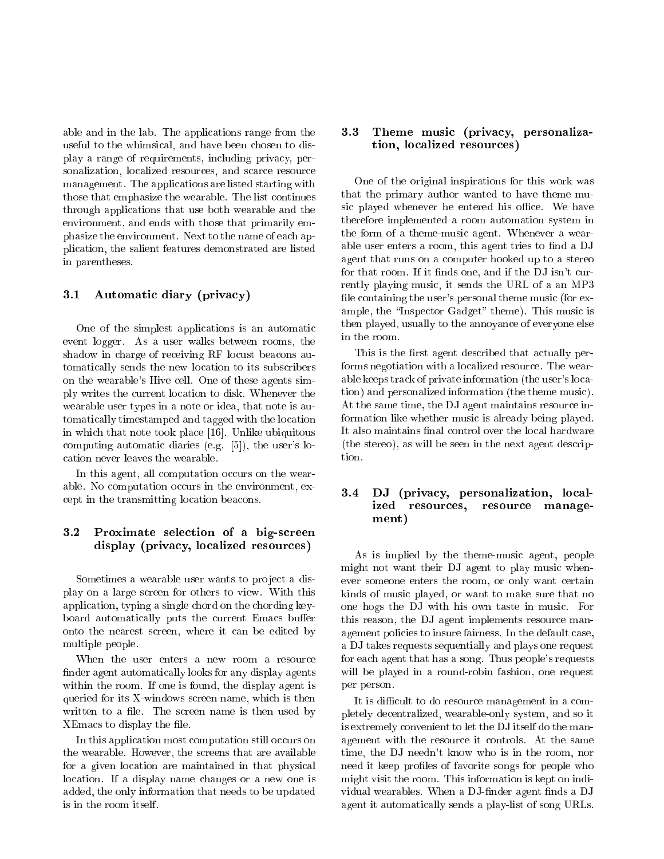able and in the lab. The appli
ations range from the useful to the whimsi
al, and have been hosen to display a range of requirements, including privacy, personalization, localized resources, and scarce resource management. The applications are listed starting with those that emphasize the wearable. The list ontinues through applications that use both wearable and the environment, and ends with those that primarily emphasize the environment. Next to the name of ea
h appli
ation, the salient features demonstrated are listed in parentheses.

#### $3.1$ Automatic diary (privacy)

One of the simplest applications is an automatic event logger. As a user walks between rooms, the shadow in charge of receiving RF locust beacons automatically sends the new location to its subscribers on the wearable's Hive ell. One of these agents simply writes the urrent lo
ation to disk. Whenever the wearable user types in a note or idea, that note is automatically timestamped and tagged with the location in which that note took place [16]. Unlike ubiquitous computing automatic diaries (e.g.  $[5]$ ), the user's loation never leaves the wearable.

In this agent, all computation occurs on the wearable. No computation occurs in the environment, except in the transmitting location beacons.

### 3.2 Proximate sele
tion of a big-s
reen display (privacy, localized resources)

Sometimes a wearable user wants to project a display on a large s
reen for others to view. With this application, typing a single chord on the chording keyboard automatically puts the current Emacs buffer onto the nearest s
reen, where it an be edited by multiple people.

When the user enters a new room a resour
e finder agent automatically looks for any display agents within the room. If one is found, the display agent is queried for its X-windows s
reen name, whi
h is then written to a file. The screen name is then used by XEmacs to display the file.

In this application most computation still occurs on the wearable. However, the s
reens that are available for a given location are maintained in that physical location. If a display name changes or a new one is added, the only information that needs to be updated is in the room itself.

# 3.3 Theme music (privacy, personalization, localized resources)

One of the original inspirations for this work was that the primary author wanted to have theme music played whenever he entered his office. We have therefore implemented a room automation system in the form of a theme-music agent. Whenever a wearable user enters a room, this agent tries to find a DJ agent that runs on a omputer hooked up to a stereo for that room. If it finds one, and if the DJ isn't currently playing musi
, it sends the URL of a an MP3 file containing the user's personal theme music (for example, the "Inspector Gadget" theme). This music is then played, usually to the annoyan
e of everyone else in the room.

This is the first agent described that actually performs negotiation with a localized resource. The wearable keeps track of private information (the user's location) and personalized information (the theme musi
). At the same time, the DJ agent maintains resource information like whether music is already being played. It also maintains final control over the local hardware (the stereo), as will be seen in the next agent des
ription.

#### DJ (privacy, personalization, local- $3.4$ ized resources, resource management)

As is implied by the theme-musi agent, people might not want their DJ agent to play musi whenever someone enters the room, or only want certain kinds of music played, or want to make sure that no one hogs the DJ with his own taste in musi
. For this reason, the DJ agent implements resource management policies to insure fairness. In the default case, a DJ takes requests sequentially and plays one request for ea
h agent that has a song. Thus people's requests will be played in a round-robin fashion, one request per person.

It is difficult to do resource management in a completely de
entralized, wearable-only system, and so it is extremely onvenient to let the DJ itself do the management with the resour
e it ontrols. At the same time, the DJ needn't know who is in the room, nor need it keep profiles of favorite songs for people who might visit the room. This information is kept on individual wearables. When a DJ-finder agent finds a DJ agent it automati
ally sends a play-list of song URLs.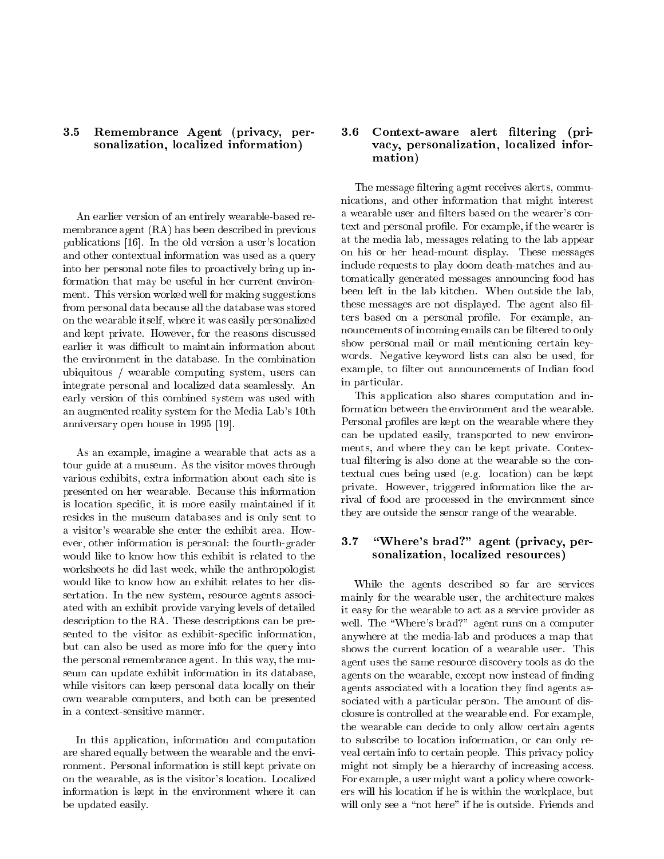# 3.5 Remembrance Agent (privacy, personalization, localized information)

An earlier version of an entirely wearable-based remembran
e agent (RA) has been des
ribed in previous publications [16]. In the old version a user's location and other ontextual information was used as a query into her personal note files to proactively bring up information that may be useful in her current environment. This version worked well for making suggestions from personal data be
ause all the database was stored on the wearable itself, where it was easily personalized and kept private. However, for the reasons dis
ussed earlier it was difficult to maintain information about the environment in the database. In the ombination ubiquitous / wearable omputing system, users an integrate personal and lo
alized data seamlessly. An early version of this ombined system was used with an augmented reality system for the Media Lab's 10th anniversary open house in 1995  $[19]$ .

As an example, imagine a wearable that acts as a tour guide at a museum. As the visitor moves through various exhibits, extra information about ea
h site is presented on her wearable. Be
ause this information is location specific, it is more easily maintained if it resides in the museum databases and is only sent to a visitor's wearable she enter the exhibit area. However, other information is personal: the fourth-grader would like to know how this exhibit is related to the worksheets he did last week, while the anthropologist would like to know how an exhibit relates to her dissertation. In the new system, resource agents associated with an exhibit provide varying levels of detailed des
ription to the RA. These des
riptions an be presented to the visitor as exhibit-specific information, but an also be used as more info for the query into the personal remembran
e agent. In this way, the museum an update exhibit information in its database, while visitors can keep personal data locally on their own wearable omputers, and both an be presented in a ontext-sensitive manner.

In this application, information and computation are shared equally between the wearable and the environment. Personal information is still kept private on on the wearable, as is the visitor's location. Localized information is kept in the environment where it an be updated easily.

# 3.6 Context-aware alert filtering (privacy, personalization, localized information)

The message filtering agent receives alerts, communi
ations, and other information that might interest a wearable user and filters based on the wearer's context and personal profile. For example, if the wearer is at the media lab, messages relating to the lab appear on his or her head-mount display. These messages in
lude requests to play doom death-mat
hes and automati
ally generated messages announ
ing food has been left in the lab kit
hen. When outside the lab, these messages are not displayed. The agent also filters based on a personal profile. For example, announcements of incoming emails can be filtered to only show personal mail or mail mentioning certain keywords. Negative keyword lists an also be used, for example, to filter out announcements of Indian food in parti
ular.

This application also shares computation and information between the environment and the wearable. Personal profiles are kept on the wearable where they an be updated easily, transported to new environments, and where they an be kept private. Contextual filtering is also done at the wearable so the contextual cues being used (e.g. location) can be kept private. However, triggered information like the arrival of food are pro
essed in the environment sin
e they are outside the sensor range of the wearable.

# 3.7 "Where's brad?" agent (privacy, personalization, localized resources)

While the agents described so far are services mainly for the wearable user, the architecture makes it easy for the wearable to act as a service provider as well. The "Where's brad?" agent runs on a computer anywhere at the media-lab and produ
es a map that shows the current location of a wearable user. This agent uses the same resour
e dis
overy tools as do the agents on the wearable, except now instead of finding agents associated with a location they find agents associated with a particular person. The amount of disclosure is controlled at the wearable end. For example, the wearable can decide to only allow certain agents to subscribe to location information, or can only reveal certain info to certain people. This privacy policy might not simply be a hierarchy of increasing access. For example, a user might want a policy where coworkers will his lo
ation if he is within the workpla
e, but will only see a "not here" if he is outside. Friends and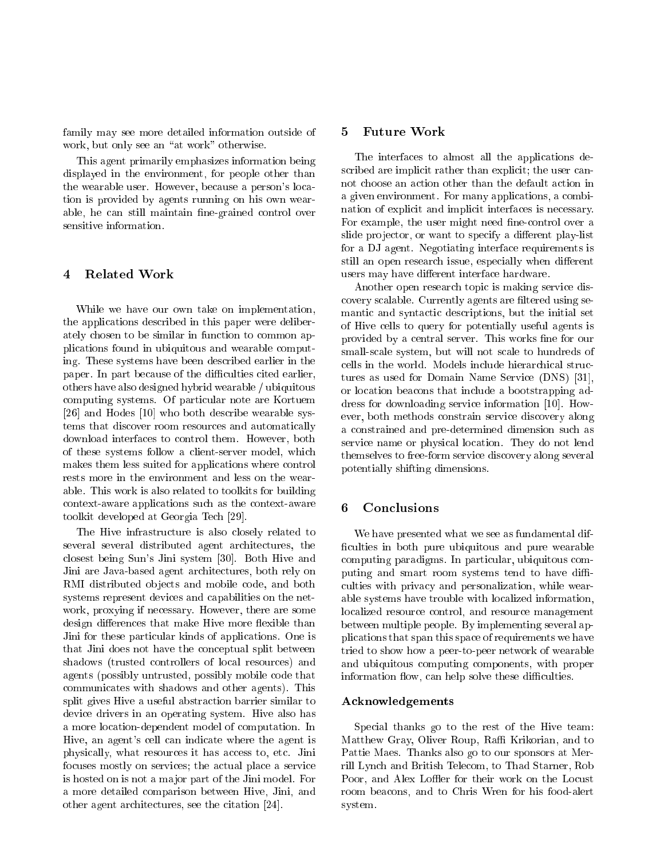family may see more detailed information outside of work, but only see an "at work" otherwise.

This agent primarily emphasizes information being displayed in the environment, for people other than the wearable user. However, because a person's location is provided by agents running on his own wearable, he can still maintain fine-grained control over sensitive information.

# 4 Related Work

While we have our own take on implementation, the appli
ations des
ribed in this paper were deliberately chosen to be similar in function to common appli
ations found in ubiquitous and wearable omputing. These systems have been des
ribed earlier in the paper. In part because of the difficulties cited earlier, others have also designed hybrid wearable / ubiquitous computing systems. Of particular note are Kortuem [26] and Hodes  $[10]$  who both describe wearable systems that dis
over room resour
es and automati
ally download interfa
es to ontrol them. However, both of these systems follow a lient-server model, whi
h makes them less suited for appli
ations where ontrol rests more in the environment and less on the wearable. This work is also related to toolkits for building ontext-aware appli
ations su
h as the ontext-aware toolkit developed at Georgia Tech [29].

The Hive infrastructure is also closely related to several several distributed agent ar
hite
tures, the closest being Sun's Jini system [30]. Both Hive and Jini are Java-based agent ar
hite
tures, both rely on RMI distributed objects and mobile code, and both systems represent devices and capabilities on the network, proxying if necessary. However, there are some design differences that make Hive more flexible than Jini for these parti
ular kinds of appli
ations. One is that Jini does not have the on
eptual split between shadows (trusted controllers of local resources) and agents (possibly untrusted, possibly mobile ode that ommuni
ates with shadows and other agents). This split gives Hive a useful abstraction barrier similar to devi
e drivers in an operating system. Hive also has a more location-dependent model of computation. In Hive, an agent's ell an indi
ate where the agent is physically, what resources it has access to, etc. Jini focuses mostly on services; the actual place a service is hosted on is not a ma jor part of the Jini model. For a more detailed omparison between Hive, Jini, and other agent architectures, see the citation [24].

# 5 Future Work

The interfaces to almost all the applications described are implicit rather than explicit; the user cannot hoose an a
tion other than the default a
tion in a given environment. For many applications, a combination of explicit and implicit interfaces is necessary. For example, the user might need fine-control over a slide projector, or want to specify a different play-list for a DJ agent. Negotiating interfa
e requirements is still an open research issue, especially when different users may have different interface hardware.

Another open research topic is making service disovery s
alable. Currently agents are ltered using semantic and syntactic descriptions, but the initial set of Hive ells to query for potentially useful agents is provided by a central server. This works fine for our small-scale system, but will not scale to hundreds of cells in the world. Models include hierarchical structures as used for Domain Name Service (DNS) [31], or lo
ation bea
ons that in
lude a bootstrapping address for downloading service information [10]. However, both methods onstrain servi
e dis
overy along a onstrained and pre-determined dimension su
h as service name or physical location. They do not lend themselves to free-form servi
e dis
overy along several potentially shifting dimensions.

# 6 Con
lusions

We have presented what we see as fundamental dif ficulties in both pure ubiquitous and pure wearable computing paradigms. In particular, ubiquitous computing and smart room systems tend to have difficulties with privacy and personalization, while wearable systems have trouble with lo
alized information, localized resource control, and resource management between multiple people. By implementing several appli
ations that span this spa
e of requirements we have tried to show how a peer-to-peer network of wearable and ubiquitous omputing omponents, with proper information flow, can help solve these difficulties.

### A
knowledgements

Spe
ial thanks go to the rest of the Hive team: Matthew Gray, Oliver Roup, Raffi Krikorian, and to Pattie Maes. Thanks also go to our sponsors at Merrill Lyn
h and British Tele
om, to Thad Starner, Rob Poor, and Alex Loffler for their work on the Locust room bea
ons, and to Chris Wren for his food-alert system.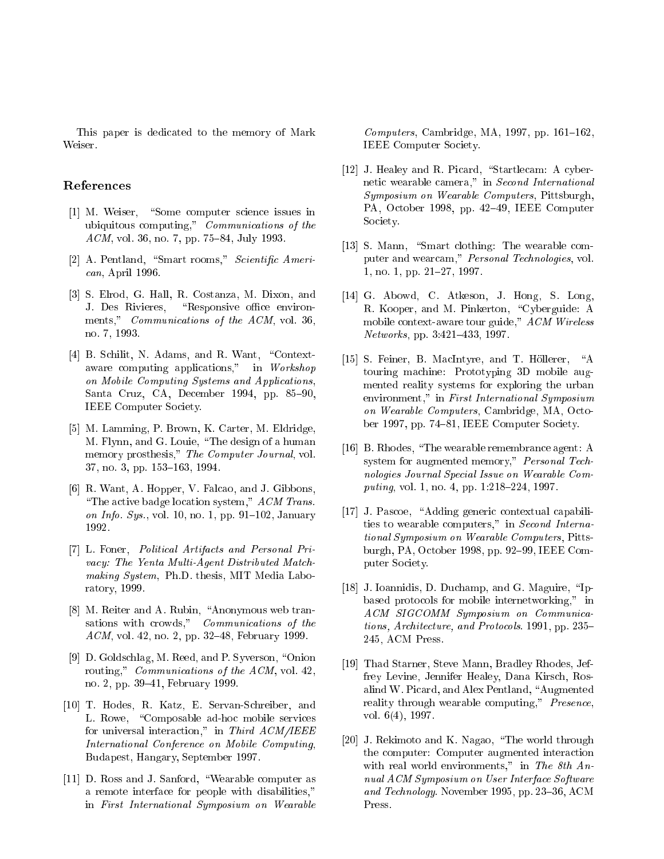This paper is dedicated to the memory of Mark Weiser.

# Referen
es

- [1] M. Weiser, "Some computer science issues in ubiquitous computing," Communications of the ACM, vol. 36, no. 7, pp. 75-84, July 1993.
- $[2]$  A. Pentland, "Smart rooms," *Scientific Ameri*an, April 1996.
- [3] S. Elrod, G. Hall, R. Costanza, M. Dixon, and J. Des Rivieres, "Responsive office environments," *Communications of the ACM*, vol. 36, no. 7, 1993.
- [4] B. Schilit, N. Adams, and R. Want, "Contextaware computing applications," in Workshop on Mobile Computing Systems and Applications, Santa Cruz, CA, December 1994, pp. 85-90, IEEE Computer Society.
- [5] M. Lamming, P. Brown, K. Carter, M. Eldridge, M. Flynn, and G. Louie, \The design of a human memory prosthesis," The Computer Journal, vol. 37, no. 3, pp. 153-163, 1994.
- [6] R. Want, A. Hopper, V. Falcao, and J. Gibbons, "The active badge location system,"  $ACM$  Trans. on Info. Sys., vol. 10, no. 1, pp. 91–102, January 1992.
- [7] L. Foner, Political Artifacts and Personal Privacy: The Yenta Multi-Agent Distributed Matchmaking System, Ph.D. thesis, MIT Media Laboratory, 1999.
- [8] M. Reiter and A. Rubin, "Anonymous web transations with crowds," Communications of the  $ACM$ , vol. 42, no. 2, pp. 32-48, February 1999.
- [9] D. Goldschlag, M. Reed, and P. Syverson, "Onion routing," *Communications of the ACM*, vol. 42, no. 2, pp. 39–41, February 1999.
- [10] T. Hodes, R. Katz, E. Servan-Schreiber, and L. Rowe, "Composable ad-hoc mobile services for universal interaction," in Third ACM/IEEE International Conferen
e on Mobile Computing, Budapest, Hangary, September 1997.
- [11] D. Ross and J. Sanford, "Wearable computer as a remote interfa
e for people with disabilities," in First International Symposium on Wearable

 $Computers, Cambridge, MA, 1997, pp. 161–162.$ IEEE Computer Society.

- [12] J. Healey and R. Picard, "Startlecam: A cybernetic wearable camera," in Second International Symposium on Wearable Computers, Pittsburgh, PA, October 1998, pp. 42-49, IEEE Computer Society.
- [13] S. Mann, "Smart clothing: The wearable computer and wearcam," Personal Technologies, vol. 1, no. 1, pp.  $21{-}27$ , 1997.
- $[14]$  G. Abowd, C. Atkeson, J. Hong, S. Long, R. Kooper, and M. Pinkerton, "Cyberguide: A mobile ontext-aware tour guide," ACM Wireless Networks, pp. 3:421-433, 1997.
- [15] S. Feiner, B. MacIntyre, and T. Höllerer, "A touring ma
hine: Prototyping 3D mobile augmented reality systems for exploring the urban environment," in First International Symposium on Wearable Computers, Cambridge, MA, O
tober 1997, pp. 74-81, IEEE Computer Society.
- [16] B. Rhodes, "The wearable remembrance agent: A system for augmented memory," Personal Technologies Journal Special Issue on Wearable Computing, vol. 1, no. 4, pp.  $1:218{-}224$ , 1997.
- [17] J. Pascoe, "Adding generic contextual capabilities to wearable computers," in Second International Symposium on Wearable Computers, Pittsburgh, PA, October 1998, pp. 92–99, IEEE Computer So
iety.
- [18] J. Ioannidis, D. Duchamp, and G. Maguire, "Ipbased proto
ols for mobile internetworking," in ACM SIGCOMM Symposium on Communi
ations, Architecture, and Protocols. 1991, pp. 235– 245, ACM Press.
- [19] Thad Starner, Steve Mann, Bradley Rhodes, Jeffrey Levine, Jennifer Healey, Dana Kirs
h, Rosalind W. Picard, and Alex Pentland, "Augmented reality through wearable computing," Presence, vol. 6(4), 1997.
- [20] J. Rekimoto and K. Nagao, "The world through the omputer: Computer augmented intera
tion with real world environments," in The 8th Annual ACM Symposium on User Interfa
e Software and Technology. November 1995, pp. 23-36, ACM Press.